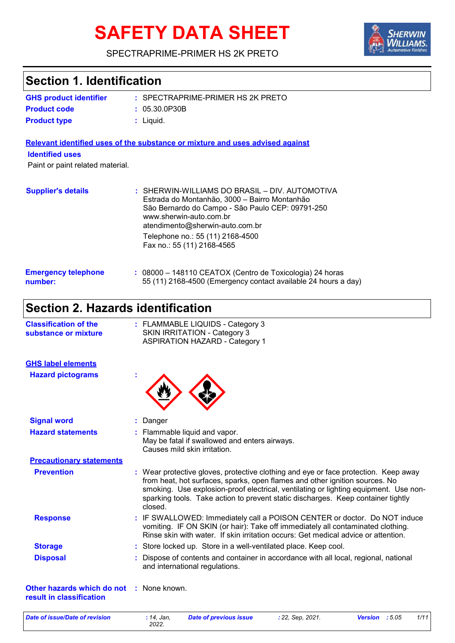# **SAFETY DATA SHEET**



### SPECTRAPRIME-PRIMER HS 2K PRETO

| <b>Section 1. Identification</b>                                            |                                                                                                                                                                                                                                                                                                                                                           |
|-----------------------------------------------------------------------------|-----------------------------------------------------------------------------------------------------------------------------------------------------------------------------------------------------------------------------------------------------------------------------------------------------------------------------------------------------------|
| <b>GHS product identifier</b>                                               | : SPECTRAPRIME-PRIMER HS 2K PRETO                                                                                                                                                                                                                                                                                                                         |
| <b>Product code</b>                                                         | : 05.30.0P30B                                                                                                                                                                                                                                                                                                                                             |
| <b>Product type</b>                                                         | $:$ Liquid.                                                                                                                                                                                                                                                                                                                                               |
|                                                                             | Relevant identified uses of the substance or mixture and uses advised against                                                                                                                                                                                                                                                                             |
| <b>Identified uses</b>                                                      |                                                                                                                                                                                                                                                                                                                                                           |
| Paint or paint related material.                                            |                                                                                                                                                                                                                                                                                                                                                           |
| <b>Supplier's details</b>                                                   | : SHERWIN-WILLIAMS DO BRASIL - DIV. AUTOMOTIVA<br>Estrada do Montanhão, 3000 - Bairro Montanhão<br>São Bernardo do Campo - São Paulo CEP: 09791-250<br>www.sherwin-auto.com.br<br>atendimento@sherwin-auto.com.br                                                                                                                                         |
|                                                                             | Telephone no.: 55 (11) 2168-4500<br>Fax no.: 55 (11) 2168-4565                                                                                                                                                                                                                                                                                            |
| <b>Emergency telephone</b><br>number:                                       | : 08000 - 148110 CEATOX (Centro de Toxicologia) 24 horas<br>55 (11) 2168-4500 (Emergency contact available 24 hours a day)                                                                                                                                                                                                                                |
| <b>Section 2. Hazards identification</b>                                    |                                                                                                                                                                                                                                                                                                                                                           |
| <b>Classification of the</b><br>substance or mixture                        | : FLAMMABLE LIQUIDS - Category 3<br><b>SKIN IRRITATION - Category 3</b><br><b>ASPIRATION HAZARD - Category 1</b>                                                                                                                                                                                                                                          |
| <b>GHS label elements</b>                                                   |                                                                                                                                                                                                                                                                                                                                                           |
| <b>Hazard pictograms</b>                                                    |                                                                                                                                                                                                                                                                                                                                                           |
| <b>Signal word</b>                                                          | Danger                                                                                                                                                                                                                                                                                                                                                    |
| <b>Hazard statements</b>                                                    | Flammable liquid and vapor.<br>May be fatal if swallowed and enters airways.<br>Causes mild skin irritation.                                                                                                                                                                                                                                              |
| <b>Precautionary statements</b>                                             |                                                                                                                                                                                                                                                                                                                                                           |
| <b>Prevention</b>                                                           | : Wear protective gloves, protective clothing and eye or face protection. Keep away<br>from heat, hot surfaces, sparks, open flames and other ignition sources. No<br>smoking. Use explosion-proof electrical, ventilating or lighting equipment. Use non-<br>sparking tools. Take action to prevent static discharges. Keep container tightly<br>closed. |
| <b>Response</b>                                                             | : IF SWALLOWED: Immediately call a POISON CENTER or doctor. Do NOT induce<br>vomiting. IF ON SKIN (or hair): Take off immediately all contaminated clothing.<br>Rinse skin with water. If skin irritation occurs: Get medical advice or attention.                                                                                                        |
| <b>Storage</b>                                                              | Store locked up. Store in a well-ventilated place. Keep cool.                                                                                                                                                                                                                                                                                             |
| <b>Disposal</b>                                                             | Dispose of contents and container in accordance with all local, regional, national<br>and international regulations.                                                                                                                                                                                                                                      |
| <b>Other hazards which do not : None known.</b><br>result in classification |                                                                                                                                                                                                                                                                                                                                                           |

**Date of issue/Date of revision**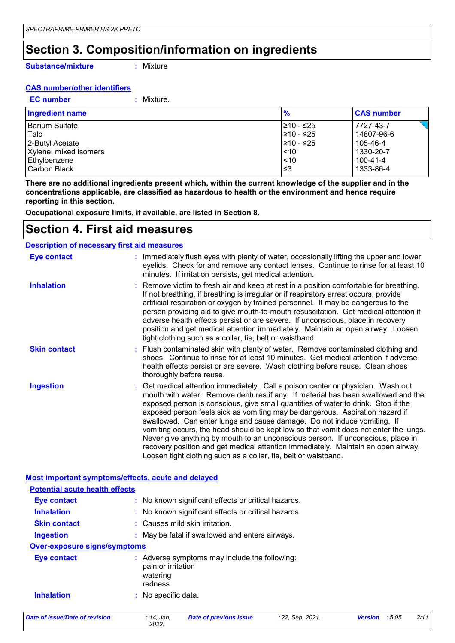### **Section 3. Composition/information on ingredients**

**Substance/mixture**

**:** Mixture

#### **CAS number/other identifiers**

**EC number :** Mixture.

| <b>Ingredient name</b> | $\frac{9}{6}$ | <b>CAS number</b> |
|------------------------|---------------|-------------------|
| Barium Sulfate         | 210 - ≤25     | 7727-43-7         |
| Talc                   | l≥10 - ≤25    | 14807-96-6        |
| 2-Butyl Acetate        | l≥10 - ≤25    | 105-46-4          |
| Xylene, mixed isomers  | < 10          | 1330-20-7         |
| Ethylbenzene           | ~10           | 100-41-4          |
| Carbon Black           | .≤3           | 1333-86-4         |

**There are no additional ingredients present which, within the current knowledge of the supplier and in the concentrations applicable, are classified as hazardous to health or the environment and hence require reporting in this section.**

**Occupational exposure limits, if available, are listed in Section 8.**

### **Section 4. First aid measures**

#### **Description of necessary first aid measures**

| <b>Eye contact</b>  | : Immediately flush eyes with plenty of water, occasionally lifting the upper and lower<br>eyelids. Check for and remove any contact lenses. Continue to rinse for at least 10<br>minutes. If irritation persists, get medical attention.                                                                                                                                                                                                                                                                                                                                                                                                                                                                                                               |
|---------------------|---------------------------------------------------------------------------------------------------------------------------------------------------------------------------------------------------------------------------------------------------------------------------------------------------------------------------------------------------------------------------------------------------------------------------------------------------------------------------------------------------------------------------------------------------------------------------------------------------------------------------------------------------------------------------------------------------------------------------------------------------------|
| <b>Inhalation</b>   | : Remove victim to fresh air and keep at rest in a position comfortable for breathing.<br>If not breathing, if breathing is irregular or if respiratory arrest occurs, provide<br>artificial respiration or oxygen by trained personnel. It may be dangerous to the<br>person providing aid to give mouth-to-mouth resuscitation. Get medical attention if<br>adverse health effects persist or are severe. If unconscious, place in recovery<br>position and get medical attention immediately. Maintain an open airway. Loosen<br>tight clothing such as a collar, tie, belt or waistband.                                                                                                                                                            |
| <b>Skin contact</b> | : Flush contaminated skin with plenty of water. Remove contaminated clothing and<br>shoes. Continue to rinse for at least 10 minutes. Get medical attention if adverse<br>health effects persist or are severe. Wash clothing before reuse. Clean shoes<br>thoroughly before reuse.                                                                                                                                                                                                                                                                                                                                                                                                                                                                     |
| <b>Ingestion</b>    | : Get medical attention immediately. Call a poison center or physician. Wash out<br>mouth with water. Remove dentures if any. If material has been swallowed and the<br>exposed person is conscious, give small quantities of water to drink. Stop if the<br>exposed person feels sick as vomiting may be dangerous. Aspiration hazard if<br>swallowed. Can enter lungs and cause damage. Do not induce vomiting. If<br>vomiting occurs, the head should be kept low so that vomit does not enter the lungs.<br>Never give anything by mouth to an unconscious person. If unconscious, place in<br>recovery position and get medical attention immediately. Maintain an open airway.<br>Loosen tight clothing such as a collar, tie, belt or waistband. |

|                                       | Most important symptoms/effects, acute and delayed                                         |  |
|---------------------------------------|--------------------------------------------------------------------------------------------|--|
| <b>Potential acute health effects</b> |                                                                                            |  |
| Eye contact                           | : No known significant effects or critical hazards.                                        |  |
| <b>Inhalation</b>                     | : No known significant effects or critical hazards.                                        |  |
| <b>Skin contact</b>                   | : Causes mild skin irritation.                                                             |  |
| <b>Ingestion</b>                      | : May be fatal if swallowed and enters airways.                                            |  |
| <b>Over-exposure signs/symptoms</b>   |                                                                                            |  |
| <b>Eye contact</b>                    | : Adverse symptoms may include the following:<br>pain or irritation<br>watering<br>redness |  |
| <b>Inhalation</b>                     | : No specific data.                                                                        |  |

*Date of issue/Date of revision* **:** *14, Jan,*

*2022.*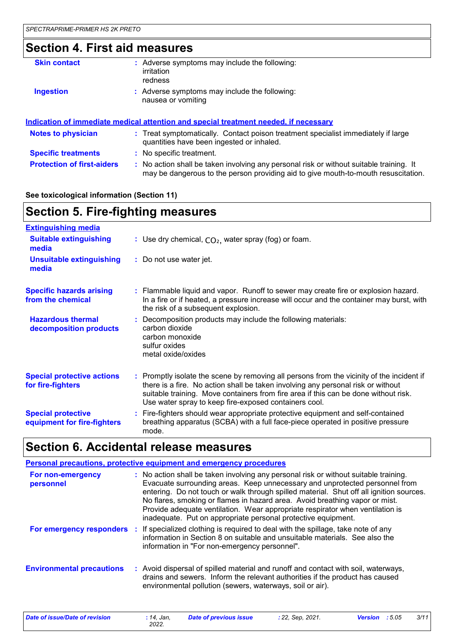### **Section 4. First aid measures**

| <b>Skin contact</b>               | : Adverse symptoms may include the following:<br><i>irritation</i><br>redness                                                                                                 |
|-----------------------------------|-------------------------------------------------------------------------------------------------------------------------------------------------------------------------------|
| <b>Ingestion</b>                  | : Adverse symptoms may include the following:<br>nausea or vomiting                                                                                                           |
|                                   | <u>Indication of immediate medical attention and special treatment needed, if necessary</u>                                                                                   |
| <b>Notes to physician</b>         | : Treat symptomatically. Contact poison treatment specialist immediately if large<br>quantities have been ingested or inhaled.                                                |
| <b>Specific treatments</b>        | : No specific treatment.                                                                                                                                                      |
| <b>Protection of first-aiders</b> | : No action shall be taken involving any personal risk or without suitable training. It<br>may be dangerous to the person providing aid to give mouth-to-mouth resuscitation. |

#### **See toxicological information (Section 11)**

## **Section 5. Fire-fighting measures**

| <b>Extinguishing media</b>                               |                                                                                                                                                                                                                                                                                                                               |
|----------------------------------------------------------|-------------------------------------------------------------------------------------------------------------------------------------------------------------------------------------------------------------------------------------------------------------------------------------------------------------------------------|
| <b>Suitable extinguishing</b><br>media                   | : Use dry chemical, $CO2$ , water spray (fog) or foam.                                                                                                                                                                                                                                                                        |
| <b>Unsuitable extinguishing</b><br>media                 | : Do not use water jet.                                                                                                                                                                                                                                                                                                       |
| <b>Specific hazards arising</b><br>from the chemical     | : Flammable liquid and vapor. Runoff to sewer may create fire or explosion hazard.<br>In a fire or if heated, a pressure increase will occur and the container may burst, with<br>the risk of a subsequent explosion.                                                                                                         |
| <b>Hazardous thermal</b><br>decomposition products       | : Decomposition products may include the following materials:<br>carbon dioxide<br>carbon monoxide<br>sulfur oxides<br>metal oxide/oxides                                                                                                                                                                                     |
| <b>Special protective actions</b><br>for fire-fighters   | : Promptly isolate the scene by removing all persons from the vicinity of the incident if<br>there is a fire. No action shall be taken involving any personal risk or without<br>suitable training. Move containers from fire area if this can be done without risk.<br>Use water spray to keep fire-exposed containers cool. |
| <b>Special protective</b><br>equipment for fire-fighters | : Fire-fighters should wear appropriate protective equipment and self-contained<br>breathing apparatus (SCBA) with a full face-piece operated in positive pressure<br>mode.                                                                                                                                                   |

### **Section 6. Accidental release measures**

|                                  | <b>Personal precautions, protective equipment and emergency procedures</b>                                                                                                                                                                                                                                                                                                                                                                                                                      |
|----------------------------------|-------------------------------------------------------------------------------------------------------------------------------------------------------------------------------------------------------------------------------------------------------------------------------------------------------------------------------------------------------------------------------------------------------------------------------------------------------------------------------------------------|
| For non-emergency<br>personnel   | : No action shall be taken involving any personal risk or without suitable training.<br>Evacuate surrounding areas. Keep unnecessary and unprotected personnel from<br>entering. Do not touch or walk through spilled material. Shut off all ignition sources.<br>No flares, smoking or flames in hazard area. Avoid breathing vapor or mist.<br>Provide adequate ventilation. Wear appropriate respirator when ventilation is<br>inadequate. Put on appropriate personal protective equipment. |
|                                  | <b>For emergency responders</b> : If specialized clothing is required to deal with the spillage, take note of any<br>information in Section 8 on suitable and unsuitable materials. See also the<br>information in "For non-emergency personnel".                                                                                                                                                                                                                                               |
| <b>Environmental precautions</b> | : Avoid dispersal of spilled material and runoff and contact with soil, waterways,<br>drains and sewers. Inform the relevant authorities if the product has caused<br>environmental pollution (sewers, waterways, soil or air).                                                                                                                                                                                                                                                                 |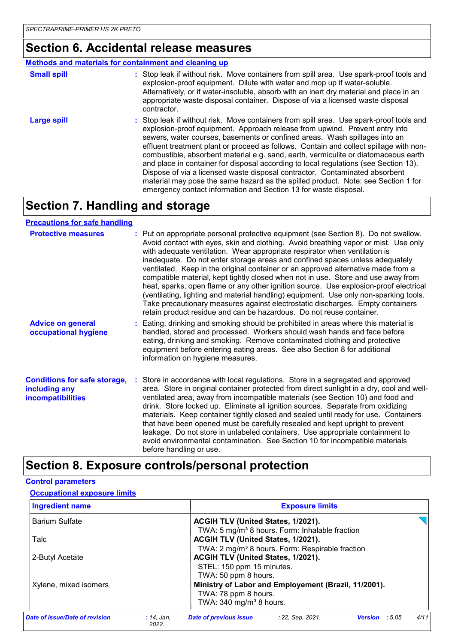### **Section 6. Accidental release measures**

#### **Methods and materials for containment and cleaning up**

| <b>Small spill</b> | : Stop leak if without risk. Move containers from spill area. Use spark-proof tools and<br>explosion-proof equipment. Dilute with water and mop up if water-soluble.<br>Alternatively, or if water-insoluble, absorb with an inert dry material and place in an<br>appropriate waste disposal container. Dispose of via a licensed waste disposal<br>contractor.                                                                                                                                                                                                                                                                                                                                                                                                      |
|--------------------|-----------------------------------------------------------------------------------------------------------------------------------------------------------------------------------------------------------------------------------------------------------------------------------------------------------------------------------------------------------------------------------------------------------------------------------------------------------------------------------------------------------------------------------------------------------------------------------------------------------------------------------------------------------------------------------------------------------------------------------------------------------------------|
| <b>Large spill</b> | : Stop leak if without risk. Move containers from spill area. Use spark-proof tools and<br>explosion-proof equipment. Approach release from upwind. Prevent entry into<br>sewers, water courses, basements or confined areas. Wash spillages into an<br>effluent treatment plant or proceed as follows. Contain and collect spillage with non-<br>combustible, absorbent material e.g. sand, earth, vermiculite or diatomaceous earth<br>and place in container for disposal according to local regulations (see Section 13).<br>Dispose of via a licensed waste disposal contractor. Contaminated absorbent<br>material may pose the same hazard as the spilled product. Note: see Section 1 for<br>emergency contact information and Section 13 for waste disposal. |

### **Section 7. Handling and storage**

#### **Precautions for safe handling**

| <b>Protective measures</b>                                                       | : Put on appropriate personal protective equipment (see Section 8). Do not swallow.<br>Avoid contact with eyes, skin and clothing. Avoid breathing vapor or mist. Use only<br>with adequate ventilation. Wear appropriate respirator when ventilation is<br>inadequate. Do not enter storage areas and confined spaces unless adequately<br>ventilated. Keep in the original container or an approved alternative made from a<br>compatible material, kept tightly closed when not in use. Store and use away from<br>heat, sparks, open flame or any other ignition source. Use explosion-proof electrical<br>(ventilating, lighting and material handling) equipment. Use only non-sparking tools.<br>Take precautionary measures against electrostatic discharges. Empty containers<br>retain product residue and can be hazardous. Do not reuse container. |
|----------------------------------------------------------------------------------|----------------------------------------------------------------------------------------------------------------------------------------------------------------------------------------------------------------------------------------------------------------------------------------------------------------------------------------------------------------------------------------------------------------------------------------------------------------------------------------------------------------------------------------------------------------------------------------------------------------------------------------------------------------------------------------------------------------------------------------------------------------------------------------------------------------------------------------------------------------|
| <b>Advice on general</b><br>occupational hygiene                                 | : Eating, drinking and smoking should be prohibited in areas where this material is<br>handled, stored and processed. Workers should wash hands and face before<br>eating, drinking and smoking. Remove contaminated clothing and protective<br>equipment before entering eating areas. See also Section 8 for additional<br>information on hygiene measures.                                                                                                                                                                                                                                                                                                                                                                                                                                                                                                  |
| <b>Conditions for safe storage,</b><br>including any<br><b>incompatibilities</b> | Store in accordance with local regulations. Store in a segregated and approved<br>area. Store in original container protected from direct sunlight in a dry, cool and well-<br>ventilated area, away from incompatible materials (see Section 10) and food and<br>drink. Store locked up. Eliminate all ignition sources. Separate from oxidizing<br>materials. Keep container tightly closed and sealed until ready for use. Containers<br>that have been opened must be carefully resealed and kept upright to prevent<br>leakage. Do not store in unlabeled containers. Use appropriate containment to<br>avoid environmental contamination. See Section 10 for incompatible materials<br>before handling or use.                                                                                                                                           |

### **Section 8. Exposure controls/personal protection**

#### **Control parameters**

#### **Occupational exposure limits**

| <b>Ingredient name</b>         | <b>Exposure limits</b>                                                                           |        |      |
|--------------------------------|--------------------------------------------------------------------------------------------------|--------|------|
| <b>Barium Sulfate</b>          | ACGIH TLV (United States, 1/2021).                                                               |        |      |
| Talc                           | TWA: 5 mg/m <sup>3</sup> 8 hours. Form: Inhalable fraction<br>ACGIH TLV (United States, 1/2021). |        |      |
|                                | TWA: 2 mg/m <sup>3</sup> 8 hours. Form: Respirable fraction                                      |        |      |
| 2-Butyl Acetate                | ACGIH TLV (United States, 1/2021).                                                               |        |      |
|                                | STEL: 150 ppm 15 minutes.                                                                        |        |      |
| Xylene, mixed isomers          | TWA: 50 ppm 8 hours.<br>Ministry of Labor and Employement (Brazil, 11/2001).                     |        |      |
|                                | TWA: 78 ppm 8 hours.<br>TWA: 340 mg/m <sup>3</sup> 8 hours.                                      |        |      |
| Date of issue/Date of revision | <b>Date of previous issue</b><br>: 22, Sep, 2021.<br>$: 14$ , Jan.<br><b>Version</b><br>2022     | : 5.05 | 4/11 |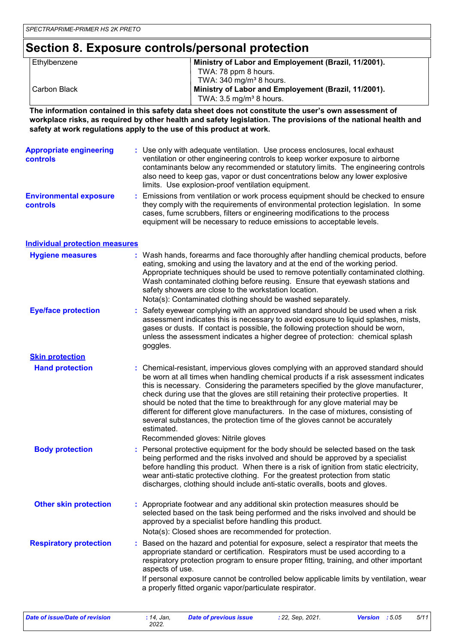### **Section 8. Exposure controls/personal protection**

| Ethylbenzene | Ministry of Labor and Employement (Brazil, 11/2001). |
|--------------|------------------------------------------------------|
|              | TWA: 78 ppm 8 hours.                                 |
|              | TWA: $340 \text{ mg/m}^3$ 8 hours.                   |
| Carbon Black | Ministry of Labor and Employement (Brazil, 11/2001). |
|              | TWA: $3.5 \text{ mg/m}^3$ 8 hours.                   |

**The information contained in this safety data sheet does not constitute the user's own assessment of workplace risks, as required by other health and safety legislation. The provisions of the national health and safety at work regulations apply to the use of this product at work.**

| <b>Appropriate engineering</b><br><b>controls</b> | : Use only with adequate ventilation. Use process enclosures, local exhaust<br>ventilation or other engineering controls to keep worker exposure to airborne<br>contaminants below any recommended or statutory limits. The engineering controls<br>also need to keep gas, vapor or dust concentrations below any lower explosive<br>limits. Use explosion-proof ventilation equipment. |
|---------------------------------------------------|-----------------------------------------------------------------------------------------------------------------------------------------------------------------------------------------------------------------------------------------------------------------------------------------------------------------------------------------------------------------------------------------|
| <b>Environmental exposure</b><br><b>controls</b>  | : Emissions from ventilation or work process equipment should be checked to ensure<br>they comply with the requirements of environmental protection legislation. In some<br>cases, fume scrubbers, filters or engineering modifications to the process<br>equipment will be necessary to reduce emissions to acceptable levels.                                                         |

#### **Individual protection measures**

| : Wash hands, forearms and face thoroughly after handling chemical products, before<br>eating, smoking and using the lavatory and at the end of the working period.<br>Appropriate techniques should be used to remove potentially contaminated clothing.<br>Wash contaminated clothing before reusing. Ensure that eyewash stations and<br>safety showers are close to the workstation location.<br>Nota(s): Contaminated clothing should be washed separately.                                                                                                                                                          |
|---------------------------------------------------------------------------------------------------------------------------------------------------------------------------------------------------------------------------------------------------------------------------------------------------------------------------------------------------------------------------------------------------------------------------------------------------------------------------------------------------------------------------------------------------------------------------------------------------------------------------|
| Safety eyewear complying with an approved standard should be used when a risk<br>assessment indicates this is necessary to avoid exposure to liquid splashes, mists,<br>gases or dusts. If contact is possible, the following protection should be worn,<br>unless the assessment indicates a higher degree of protection: chemical splash<br>goggles.                                                                                                                                                                                                                                                                    |
|                                                                                                                                                                                                                                                                                                                                                                                                                                                                                                                                                                                                                           |
| : Chemical-resistant, impervious gloves complying with an approved standard should<br>be worn at all times when handling chemical products if a risk assessment indicates<br>this is necessary. Considering the parameters specified by the glove manufacturer,<br>check during use that the gloves are still retaining their protective properties. It<br>should be noted that the time to breakthrough for any glove material may be<br>different for different glove manufacturers. In the case of mixtures, consisting of<br>several substances, the protection time of the gloves cannot be accurately<br>estimated. |
| Recommended gloves: Nitrile gloves                                                                                                                                                                                                                                                                                                                                                                                                                                                                                                                                                                                        |
| Personal protective equipment for the body should be selected based on the task<br>being performed and the risks involved and should be approved by a specialist<br>before handling this product. When there is a risk of ignition from static electricity,<br>wear anti-static protective clothing. For the greatest protection from static<br>discharges, clothing should include anti-static overalls, boots and gloves.                                                                                                                                                                                               |
| : Appropriate footwear and any additional skin protection measures should be<br>selected based on the task being performed and the risks involved and should be<br>approved by a specialist before handling this product.<br>Nota(s): Closed shoes are recommended for protection.                                                                                                                                                                                                                                                                                                                                        |
| Based on the hazard and potential for exposure, select a respirator that meets the<br>appropriate standard or certification. Respirators must be used according to a<br>respiratory protection program to ensure proper fitting, training, and other important<br>aspects of use.<br>If personal exposure cannot be controlled below applicable limits by ventilation, wear<br>a properly fitted organic vapor/particulate respirator.                                                                                                                                                                                    |
|                                                                                                                                                                                                                                                                                                                                                                                                                                                                                                                                                                                                                           |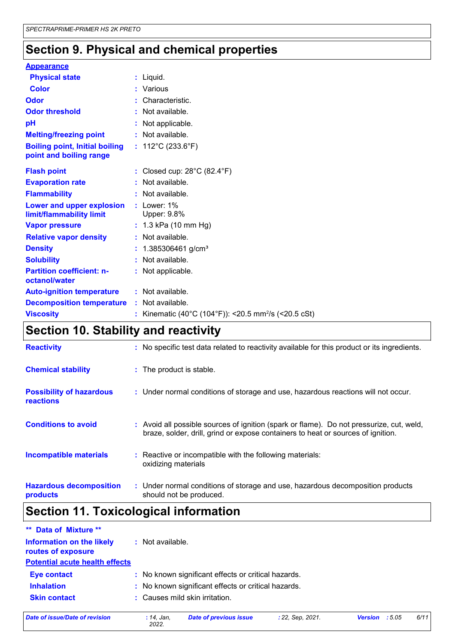## **Section 9. Physical and chemical properties**

| <b>Appearance</b>                                                |                                                                |
|------------------------------------------------------------------|----------------------------------------------------------------|
| <b>Physical state</b>                                            | : Liquid.                                                      |
| <b>Color</b>                                                     | : Various                                                      |
| Odor                                                             | Characteristic.                                                |
| <b>Odor threshold</b>                                            | : Not available.                                               |
| рH                                                               | : Not applicable.                                              |
| <b>Melting/freezing point</b>                                    | : Not available.                                               |
| <b>Boiling point, Initial boiling</b><br>point and boiling range | : $112^{\circ}$ C (233.6 $^{\circ}$ F)                         |
| <b>Flash point</b>                                               | : Closed cup: $28^{\circ}$ C (82.4 $^{\circ}$ F)               |
| <b>Evaporation rate</b>                                          | : Not available.                                               |
| <b>Flammability</b>                                              | : Not available.                                               |
| Lower and upper explosion<br>limit/flammability limit            | $:$ Lower: $1\%$<br>Upper: 9.8%                                |
| <b>Vapor pressure</b>                                            | $: 1.3$ kPa (10 mm Hg)                                         |
| <b>Relative vapor density</b>                                    | : Not available.                                               |
| <b>Density</b>                                                   | $: 1.385306461$ g/cm <sup>3</sup>                              |
| <b>Solubility</b>                                                | : Not available.                                               |
| <b>Partition coefficient: n-</b><br>octanol/water                | : Not applicable.                                              |
| <b>Auto-ignition temperature</b>                                 | : Not available.                                               |
| <b>Decomposition temperature</b>                                 | : Not available.                                               |
| <b>Viscosity</b>                                                 | Kinematic (40°C (104°F)): <20.5 mm <sup>2</sup> /s (<20.5 cSt) |

### **Section 10. Stability and reactivity**

| <b>Reactivity</b>                            | : No specific test data related to reactivity available for this product or its ingredients.                                                                                 |
|----------------------------------------------|------------------------------------------------------------------------------------------------------------------------------------------------------------------------------|
| <b>Chemical stability</b>                    | : The product is stable.                                                                                                                                                     |
| <b>Possibility of hazardous</b><br>reactions | : Under normal conditions of storage and use, hazardous reactions will not occur.                                                                                            |
| <b>Conditions to avoid</b>                   | : Avoid all possible sources of ignition (spark or flame). Do not pressurize, cut, weld,<br>braze, solder, drill, grind or expose containers to heat or sources of ignition. |
| <b>Incompatible materials</b>                | : Reactive or incompatible with the following materials:<br>oxidizing materials                                                                                              |
| <b>Hazardous decomposition</b><br>products   | : Under normal conditions of storage and use, hazardous decomposition products<br>should not be produced.                                                                    |

## **Section 11. Toxicological information**

| ** Data of Mixture **                           |                                                     |
|-------------------------------------------------|-----------------------------------------------------|
| Information on the likely<br>routes of exposure | : Not available.                                    |
| <b>Potential acute health effects</b>           |                                                     |
| <b>Eye contact</b>                              | : No known significant effects or critical hazards. |
| <b>Inhalation</b>                               | : No known significant effects or critical hazards. |
| <b>Skin contact</b>                             | : Causes mild skin irritation.                      |
|                                                 |                                                     |

*Date of issue/Date of revision* **:** *14, Jan,*

*2022.*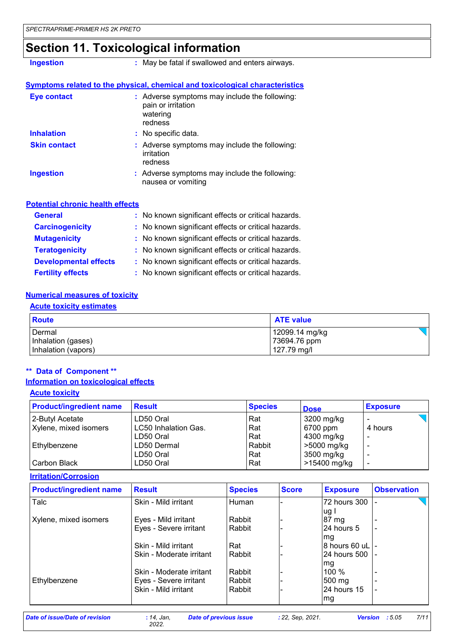### **Section 11. Toxicological information**

**Ingestion :** May be fatal if swallowed and enters airways.

#### **Symptoms related to the physical, chemical and toxicological characteristics**

| Eye contact         | : Adverse symptoms may include the following:<br>pain or irritation<br>watering<br>redness |  |
|---------------------|--------------------------------------------------------------------------------------------|--|
| <b>Inhalation</b>   | : No specific data.                                                                        |  |
| <b>Skin contact</b> | : Adverse symptoms may include the following:<br>irritation<br>redness                     |  |
| <b>Ingestion</b>    | : Adverse symptoms may include the following:<br>nausea or vomiting                        |  |

#### **Potential chronic health effects**

| <b>General</b>               | : No known significant effects or critical hazards. |
|------------------------------|-----------------------------------------------------|
| <b>Carcinogenicity</b>       | : No known significant effects or critical hazards. |
| <b>Mutagenicity</b>          | : No known significant effects or critical hazards. |
| <b>Teratogenicity</b>        | : No known significant effects or critical hazards. |
| <b>Developmental effects</b> | : No known significant effects or critical hazards. |
| <b>Fertility effects</b>     | : No known significant effects or critical hazards. |

#### **Numerical measures of toxicity**

#### **Acute toxicity estimates**

| Route               | <b>ATE value</b> |
|---------------------|------------------|
| l Dermal            | 12099.14 mg/kg   |
| Inhalation (gases)  | 73694.76 ppm     |
| Inhalation (vapors) | 127.79 mg/l      |

#### **\*\* Data of Component \*\***

#### **Information on toxicological effects**

| <b>Acute toxicity</b>          |                             |                |              |                 |  |
|--------------------------------|-----------------------------|----------------|--------------|-----------------|--|
| <b>Product/ingredient name</b> | <b>Result</b>               | <b>Species</b> | <b>Dose</b>  | <b>Exposure</b> |  |
| 2-Butyl Acetate                | LD50 Oral                   | Rat            | 3200 mg/kg   |                 |  |
| Xylene, mixed isomers          | <b>LC50 Inhalation Gas.</b> | Rat            | 6700 ppm     | 4 hours         |  |
|                                | LD50 Oral                   | Rat            | 4300 mg/kg   |                 |  |
| Ethylbenzene                   | LD50 Dermal                 | Rabbit         | >5000 mg/kg  |                 |  |
|                                | LD50 Oral                   | Rat            | 3500 mg/kg   |                 |  |
| Carbon Black                   | LD50 Oral                   | Rat            | >15400 mg/kg |                 |  |

**Irritation/Corrosion**

| <b>Product/ingredient name</b> | <b>Result</b>            | <b>Species</b> | <b>Score</b> | <b>Exposure</b>  | <b>Observation</b> |
|--------------------------------|--------------------------|----------------|--------------|------------------|--------------------|
| Talc                           | Skin - Mild irritant     | Human          |              | 72 hours 300     |                    |
|                                |                          |                |              | ug               |                    |
| Xylene, mixed isomers          | Eyes - Mild irritant     | Rabbit         |              | 87 mg            |                    |
|                                | Eyes - Severe irritant   | Rabbit         |              | 24 hours 5       |                    |
|                                |                          |                |              | lmg              |                    |
|                                | Skin - Mild irritant     | Rat            |              | I8 hours 60 uL⊺- |                    |
|                                | Skin - Moderate irritant | Rabbit         |              | 24 hours 500     |                    |
|                                |                          |                |              | lmg              |                    |
|                                | Skin - Moderate irritant | Rabbit         |              | $100\%$          |                    |
| Ethylbenzene                   | Eyes - Severe irritant   | Rabbit         |              | $500 \text{ mg}$ |                    |
|                                | Skin - Mild irritant     | Rabbit         |              | 24 hours 15      |                    |
|                                |                          |                |              | lmg              |                    |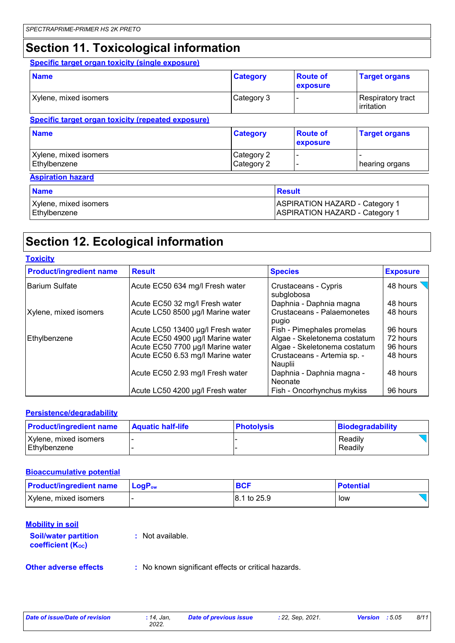### **Section 11. Toxicological information**

#### **Specific target organ toxicity (single exposure)**

| <b>Name</b>                                               | <b>Category</b>          | <b>Route of</b><br>exposure                                                    | <b>Target organs</b>            |
|-----------------------------------------------------------|--------------------------|--------------------------------------------------------------------------------|---------------------------------|
| Xylene, mixed isomers                                     | Category 3               |                                                                                | Respiratory tract<br>irritation |
| <b>Specific target organ toxicity (repeated exposure)</b> |                          |                                                                                |                                 |
| <b>Name</b>                                               | <b>Category</b>          | <b>Route of</b><br>exposure                                                    | <b>Target organs</b>            |
| Xylene, mixed isomers<br>Ethylbenzene                     | Category 2<br>Category 2 |                                                                                | hearing organs                  |
| <b>Aspiration hazard</b>                                  |                          |                                                                                |                                 |
| <b>Name</b>                                               |                          | <b>Result</b>                                                                  |                                 |
| Xylene, mixed isomers<br>Ethylbenzene                     |                          | <b>ASPIRATION HAZARD - Category 1</b><br><b>ASPIRATION HAZARD - Category 1</b> |                                 |

### **Section 12. Ecological information**

| <b>Toxicity</b>                |                                   |                                        |                 |
|--------------------------------|-----------------------------------|----------------------------------------|-----------------|
| <b>Product/ingredient name</b> | <b>Result</b>                     | <b>Species</b>                         | <b>Exposure</b> |
| Barium Sulfate                 | Acute EC50 634 mg/l Fresh water   | Crustaceans - Cypris<br>subglobosa     | 48 hours        |
|                                | Acute EC50 32 mg/l Fresh water    | Daphnia - Daphnia magna                | 48 hours        |
| Xylene, mixed isomers          | Acute LC50 8500 µg/l Marine water | Crustaceans - Palaemonetes<br>pugio    | 48 hours        |
|                                | Acute LC50 13400 µg/l Fresh water | Fish - Pimephales promelas             | 96 hours        |
| Ethylbenzene                   | Acute EC50 4900 µg/l Marine water | Algae - Skeletonema costatum           | 72 hours        |
|                                | Acute EC50 7700 µg/l Marine water | Algae - Skeletonema costatum           | 96 hours        |
|                                | Acute EC50 6.53 mg/l Marine water | Crustaceans - Artemia sp. -<br>Nauplii | 48 hours        |
|                                | Acute EC50 2.93 mg/l Fresh water  | Daphnia - Daphnia magna -<br>Neonate   | 48 hours        |
|                                | Acute LC50 4200 µg/l Fresh water  | Fish - Oncorhynchus mykiss             | 96 hours        |

#### **Persistence/degradability**

| <b>Product/ingredient name</b>          | <b>Aquatic half-life</b> | <b>Photolysis</b> | Biodegradability   |
|-----------------------------------------|--------------------------|-------------------|--------------------|
| Xylene, mixed isomers<br>l Ethvlbenzene |                          |                   | Readily<br>Readily |

#### **Bioaccumulative potential**

| <b>Product/ingredient name</b> | $\mathsf{LogP}_\mathsf{ow}$ | <b>BCF</b>  | <b>Potential</b> |
|--------------------------------|-----------------------------|-------------|------------------|
| Xylene, mixed isomers          |                             | 8.1 to 25.9 | low              |

#### **Mobility in soil**

| <b>Soil/water partition</b> |  |
|-----------------------------|--|
| <b>coefficient (Koc)</b>    |  |

**:** Not available.

**Other adverse effects** : No known significant effects or critical hazards.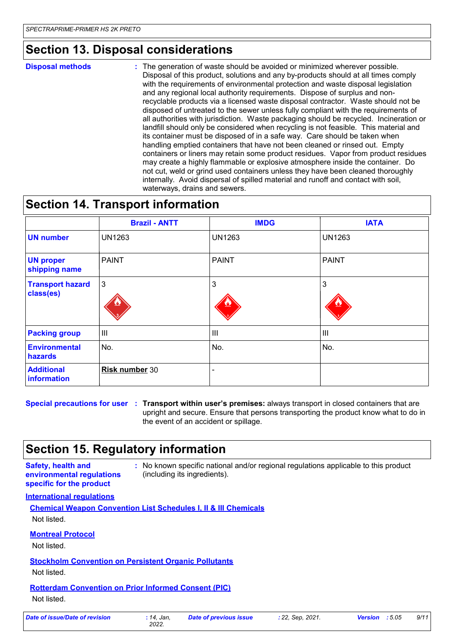### **Section 13. Disposal considerations**

#### **Disposal methods :**

The generation of waste should be avoided or minimized wherever possible. Disposal of this product, solutions and any by-products should at all times comply with the requirements of environmental protection and waste disposal legislation and any regional local authority requirements. Dispose of surplus and nonrecyclable products via a licensed waste disposal contractor. Waste should not be disposed of untreated to the sewer unless fully compliant with the requirements of all authorities with jurisdiction. Waste packaging should be recycled. Incineration or landfill should only be considered when recycling is not feasible. This material and its container must be disposed of in a safe way. Care should be taken when handling emptied containers that have not been cleaned or rinsed out. Empty containers or liners may retain some product residues. Vapor from product residues may create a highly flammable or explosive atmosphere inside the container. Do not cut, weld or grind used containers unless they have been cleaned thoroughly internally. Avoid dispersal of spilled material and runoff and contact with soil, waterways, drains and sewers.

### **Section 14. Transport information**

|                                      | <b>Brazil - ANTT</b> | <b>IMDG</b>    | <b>IATA</b>    |
|--------------------------------------|----------------------|----------------|----------------|
| <b>UN number</b>                     | <b>UN1263</b>        | <b>UN1263</b>  | <b>UN1263</b>  |
| <b>UN proper</b><br>shipping name    | <b>PAINT</b>         | <b>PAINT</b>   | <b>PAINT</b>   |
| <b>Transport hazard</b><br>class(es) | 3                    | 3              | 3              |
| <b>Packing group</b>                 | Ш                    | $\mathbf{III}$ | $\mathbf{III}$ |
| <b>Environmental</b><br>hazards      | No.                  | No.            | No.            |
| <b>Additional</b><br>information     | Risk number 30       | -              |                |

**Special precautions for user Transport within user's premises:** always transport in closed containers that are **:** upright and secure. Ensure that persons transporting the product know what to do in the event of an accident or spillage.

### **Section 15. Regulatory information**

#### **Safety, health and environmental regulations specific for the product**

**:** No known specific national and/or regional regulations applicable to this product (including its ingredients).

#### **International regulations**

**Chemical Weapon Convention List Schedules I, II & III Chemicals** Not listed.

#### **Montreal Protocol**

Not listed.

#### **Stockholm Convention on Persistent Organic Pollutants**

Not listed.

### **Rotterdam Convention on Prior Informed Consent (PIC)**

Not listed.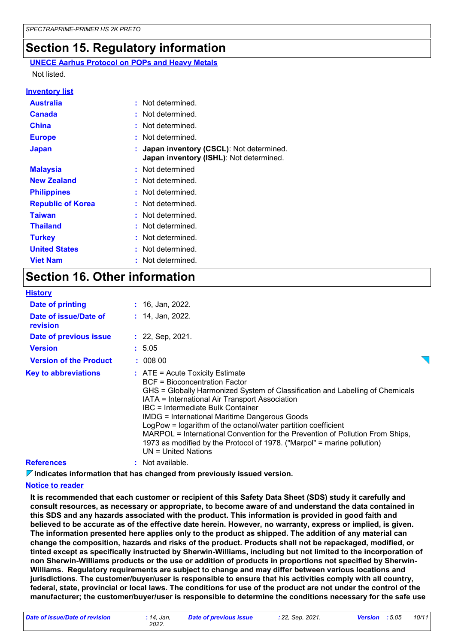### **Section 15. Regulatory information**

**UNECE Aarhus Protocol on POPs and Heavy Metals** Not listed.

#### **Inventory list**

| <b>Australia</b>         | : Not determined.                                                                    |
|--------------------------|--------------------------------------------------------------------------------------|
| <b>Canada</b>            | : Not determined.                                                                    |
| <b>China</b>             | : Not determined.                                                                    |
| <b>Europe</b>            | : Not determined.                                                                    |
| <b>Japan</b>             | : Japan inventory (CSCL): Not determined.<br>Japan inventory (ISHL): Not determined. |
| <b>Malaysia</b>          | : Not determined                                                                     |
| <b>New Zealand</b>       | : Not determined.                                                                    |
| <b>Philippines</b>       | : Not determined.                                                                    |
| <b>Republic of Korea</b> | : Not determined.                                                                    |
| <b>Taiwan</b>            | : Not determined.                                                                    |
| <b>Thailand</b>          | : Not determined.                                                                    |
| <b>Turkey</b>            | : Not determined.                                                                    |
| <b>United States</b>     | : Not determined.                                                                    |
| <b>Viet Nam</b>          | : Not determined.                                                                    |

### **Section 16. Other information**

| <b>History</b>                    |                                                                                                                                                                                                                                                                                                                                                                                                                                                                                                                                                        |  |
|-----------------------------------|--------------------------------------------------------------------------------------------------------------------------------------------------------------------------------------------------------------------------------------------------------------------------------------------------------------------------------------------------------------------------------------------------------------------------------------------------------------------------------------------------------------------------------------------------------|--|
| Date of printing                  | $: 16,$ Jan, 2022.                                                                                                                                                                                                                                                                                                                                                                                                                                                                                                                                     |  |
| Date of issue/Date of<br>revision | $: 14$ , Jan, 2022.                                                                                                                                                                                                                                                                                                                                                                                                                                                                                                                                    |  |
| Date of previous issue            | $: 22,$ Sep, 2021.                                                                                                                                                                                                                                                                                                                                                                                                                                                                                                                                     |  |
| <b>Version</b>                    | : 5.05                                                                                                                                                                                                                                                                                                                                                                                                                                                                                                                                                 |  |
| <b>Version of the Product</b>     | : 00800                                                                                                                                                                                                                                                                                                                                                                                                                                                                                                                                                |  |
| <b>Key to abbreviations</b>       | $:$ ATE = Acute Toxicity Estimate<br>BCF = Bioconcentration Factor<br>GHS = Globally Harmonized System of Classification and Labelling of Chemicals<br>IATA = International Air Transport Association<br>IBC = Intermediate Bulk Container<br><b>IMDG = International Maritime Dangerous Goods</b><br>LogPow = logarithm of the octanol/water partition coefficient<br>MARPOL = International Convention for the Prevention of Pollution From Ships,<br>1973 as modified by the Protocol of 1978. ("Marpol" = marine pollution)<br>UN = United Nations |  |
| <b>References</b>                 | $:$ Not available.                                                                                                                                                                                                                                                                                                                                                                                                                                                                                                                                     |  |

**Indicates information that has changed from previously issued version.**

#### **Notice to reader**

**It is recommended that each customer or recipient of this Safety Data Sheet (SDS) study it carefully and consult resources, as necessary or appropriate, to become aware of and understand the data contained in this SDS and any hazards associated with the product. This information is provided in good faith and believed to be accurate as of the effective date herein. However, no warranty, express or implied, is given. The information presented here applies only to the product as shipped. The addition of any material can change the composition, hazards and risks of the product. Products shall not be repackaged, modified, or tinted except as specifically instructed by Sherwin-Williams, including but not limited to the incorporation of non Sherwin-Williams products or the use or addition of products in proportions not specified by Sherwin-Williams. Regulatory requirements are subject to change and may differ between various locations and jurisdictions. The customer/buyer/user is responsible to ensure that his activities comply with all country, federal, state, provincial or local laws. The conditions for use of the product are not under the control of the manufacturer; the customer/buyer/user is responsible to determine the conditions necessary for the safe use**